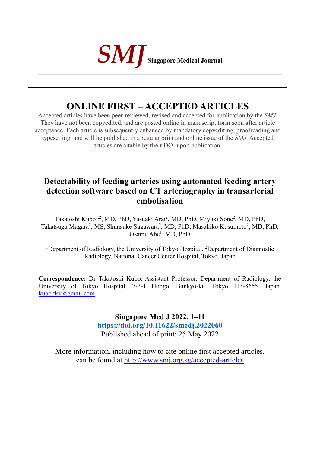

# **ONLINE FIRST – ACCEPTED ARTICLES**

Accepted articles have been peer-reviewed, revised and accepted for publication by the *SMJ*. They have not been copyedited, and are posted online in manuscript form soon after article acceptance. Each article is subsequently enhanced by mandatory copyediting, proofreading and typesetting, and will be published in a regular print and online issue of the *SMJ*. Accepted articles are citable by their DOI upon publication.

# **Detectability of feeding arteries using automated feeding artery detection software based on CT arteriography in transarterial embolisation**

Takatoshi Kubo<sup>1,2</sup>, MD, PhD, Yasuaki Arai<sup>2</sup>, MD, PhD, Miyuki Sone<sup>2</sup>, MD, PhD, Takatsugu Magara<sup>2</sup>, MS, Shunsuke Sugawara<sup>2</sup>, MD, PhD, Masahiko Kusumoto<sup>2</sup>, MD, PhD, Osamu Abe<sup>1</sup>, MD, PhD

<sup>1</sup>Department of Radiology, the University of Tokyo Hospital, <sup>2</sup>Department of Diagnostic Radiology, National Cancer Center Hospital, Tokyo, Japan

**Correspondence:** Dr Takatoshi Kubo, Assistant Professor, Department of Radiology, the University of Tokyo Hospital, 7-3-1 Hongo, Bunkyo-ku, Tokyo 113-8655, Japan. [kubo.tky@gmail.com](about:blank)

> **Singapore Med J 2022, 1–11 [https://doi.org/1](about:blank)0.11622/smedj.2022060** Published ahead of print: 25 May 2022

More information, including how to cite online first accepted articles, can be found at http://www.smj.org.sg/accepted-articles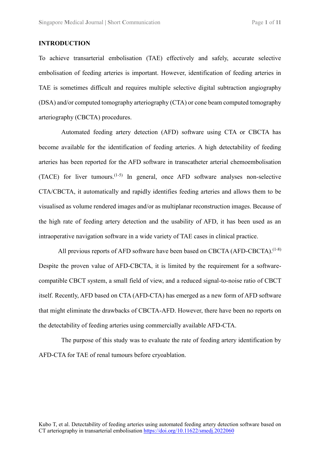# **INTRODUCTION**

To achieve transarterial embolisation (TAE) effectively and safely, accurate selective embolisation of feeding arteries is important. However, identification of feeding arteries in TAE is sometimes difficult and requires multiple selective digital subtraction angiography (DSA) and/or computed tomography arteriography (CTA) or cone beam computed tomography arteriography (CBCTA) procedures.

Automated feeding artery detection (AFD) software using CTA or CBCTA has become available for the identification of feeding arteries. A high detectability of feeding arteries has been reported for the AFD software in transcatheter arterial chemoembolisation  $(TACE)$  for liver tumours.<sup> $(1-5)$ </sup> In general, once AFD software analyses non-selective CTA/CBCTA, it automatically and rapidly identifies feeding arteries and allows them to be visualised as volume rendered images and/or as multiplanar reconstruction images. Because of the high rate of feeding artery detection and the usability of AFD, it has been used as an intraoperative navigation software in a wide variety of TAE cases in clinical practice.

All previous reports of AFD software have been based on CBCTA (AFD-CBCTA).<sup>(1-8)</sup> Despite the proven value of AFD-CBCTA, it is limited by the requirement for a softwarecompatible CBCT system, a small field of view, and a reduced signal-to-noise ratio of CBCT itself. Recently, AFD based on CTA (AFD-CTA) has emerged as a new form of AFD software that might eliminate the drawbacks of CBCTA-AFD. However, there have been no reports on the detectability of feeding arteries using commercially available AFD-CTA.

The purpose of this study was to evaluate the rate of feeding artery identification by AFD-CTA for TAE of renal tumours before cryoablation.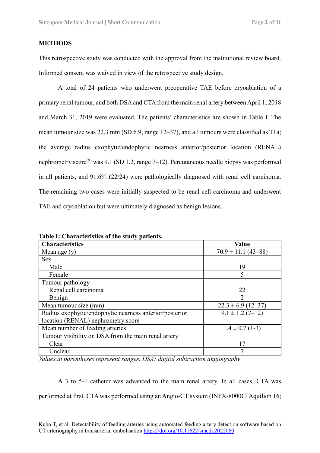### **METHODS**

This retrospective study was conducted with the approval from the institutional review board. Informed consent was waived in view of the retrospective study design.

A total of 24 patients who underwent preoperative TAE before cryoablation of a primary renal tumour, and both DSA and CTA from the main renal artery between April 1, 2018 and March 31, 2019 were evaluated. The patients' characteristics are shown in Table I. The mean tumour size was 22.3 mm (SD 6.9, range 12–37), and all tumours were classified as T1a; the average radius exophytic/endophytic nearness anterior/posterior location (RENAL) nephrometry score<sup>(9)</sup> was 9.1 (SD 1.2, range 7–12). Percutaneous needle biopsy was performed in all patients, and 91.6% (22/24) were pathologically diagnosed with renal cell carcinoma. The remaining two cases were initially suspected to be renal cell carcinoma and underwent TAE and cryoablation but were ultimately diagnosed as benign lesions.

| <b>Characteristics</b>                                  | <b>Value</b>            |
|---------------------------------------------------------|-------------------------|
| Mean age $(y)$                                          | $70.9 \pm 11.1$ (43-88) |
| <b>Sex</b>                                              |                         |
| Male                                                    | 19                      |
| Female                                                  | 5                       |
| Tumour pathology                                        |                         |
| Renal cell carcinoma                                    | 22                      |
| Benign                                                  |                         |
| Mean tumour size (mm)                                   | $22.3 \pm 6.9$ (12-37)  |
| Radius exophytic/endophytic nearness anterior/posterior | $9.1 \pm 1.2$ (7-12)    |
| location (RENAL) nephrometry score                      |                         |
| Mean number of feeding arteries                         | $1.4 \pm 0.7$ (1-3)     |
| Tumour visibility on DSA from the main renal artery     |                         |
| Clear                                                   | 17                      |
| Unclear                                                 |                         |

**Table I: Characteristics of the study patients.**

*Values in parentheses represent ranges. DSA: digital subtraction angiography*

A 3 to 5-F catheter was advanced to the main renal artery. In all cases, CTA was performed at first. CTA was performed using an Angio-CT system (INFX-8000C/ Aquilion 16;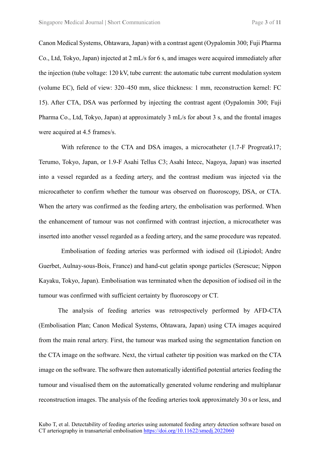Canon Medical Systems, Ohtawara, Japan) with a contrast agent (Oypalomin 300; Fuji Pharma Co., Ltd, Tokyo, Japan) injected at 2 mL/s for 6 s, and images were acquired immediately after the injection (tube voltage: 120 kV, tube current: the automatic tube current modulation system (volume EC), field of view: 320–450 mm, slice thickness: 1 mm, reconstruction kernel: FC 15). After CTA, DSA was performed by injecting the contrast agent (Oypalomin 300; Fuji Pharma Co., Ltd, Tokyo, Japan) at approximately 3 mL/s for about 3 s, and the frontal images were acquired at 4.5 frames/s.

With reference to the CTA and DSA images, a microcatheter (1.7-F Progreatλ17; Terumo, Tokyo, Japan, or 1.9-F Asahi Tellus C3; Asahi Intecc, Nagoya, Japan) was inserted into a vessel regarded as a feeding artery, and the contrast medium was injected via the microcatheter to confirm whether the tumour was observed on fluoroscopy, DSA, or CTA. When the artery was confirmed as the feeding artery, the embolisation was performed. When the enhancement of tumour was not confirmed with contrast injection, a microcatheter was inserted into another vessel regarded as a feeding artery, and the same procedure was repeated.

Embolisation of feeding arteries was performed with iodised oil (Lipiodol; Andre Guerbet, Aulnay-sous-Bois, France) and hand-cut gelatin sponge particles (Serescue; Nippon Kayaku, Tokyo, Japan). Embolisation was terminated when the deposition of iodised oil in the tumour was confirmed with sufficient certainty by fluoroscopy or CT.

The analysis of feeding arteries was retrospectively performed by AFD-CTA (Embolisation Plan; Canon Medical Systems, Ohtawara, Japan) using CTA images acquired from the main renal artery. First, the tumour was marked using the segmentation function on the CTA image on the software. Next, the virtual catheter tip position was marked on the CTA image on the software. The software then automatically identified potential arteries feeding the tumour and visualised them on the automatically generated volume rendering and multiplanar reconstruction images. The analysis of the feeding arteries took approximately 30 s or less, and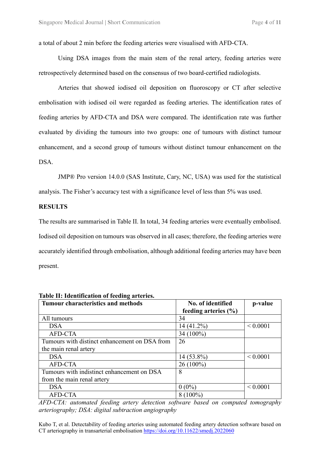a total of about 2 min before the feeding arteries were visualised with AFD-CTA.

Using DSA images from the main stem of the renal artery, feeding arteries were retrospectively determined based on the consensus of two board-certified radiologists.

Arteries that showed iodised oil deposition on fluoroscopy or CT after selective embolisation with iodised oil were regarded as feeding arteries. The identification rates of feeding arteries by AFD-CTA and DSA were compared. The identification rate was further evaluated by dividing the tumours into two groups: one of tumours with distinct tumour enhancement, and a second group of tumours without distinct tumour enhancement on the DSA.

JMP® Pro version 14.0.0 (SAS Institute, Cary, NC, USA) was used for the statistical analysis. The Fisher's accuracy test with a significance level of less than 5% was used.

#### **RESULTS**

The results are summarised in Table II. In total, 34 feeding arteries were eventually embolised. Iodised oil deposition on tumours was observed in all cases; therefore, the feeding arteries were accurately identified through embolisation, although additional feeding arteries may have been present.

| Table II: Identification of feeding arteries. |                          |              |
|-----------------------------------------------|--------------------------|--------------|
| <b>Tumour characteristics and methods</b>     | No. of identified        | p-value      |
|                                               | feeding arteries $(\% )$ |              |
| All tumours                                   | 34                       |              |
| <b>DSA</b>                                    | $14(41.2\%)$             | ${}< 0.0001$ |
| <b>AFD-CTA</b>                                | 34 (100%)                |              |
| Tumours with distinct enhancement on DSA from | 26                       |              |
| the main renal artery                         |                          |              |
| <b>DSA</b>                                    | 14 (53.8%)               | ${}< 0.0001$ |
| <b>AFD-CTA</b>                                | $26(100\%)$              |              |
| Tumours with indistinct enhancement on DSA    | 8                        |              |
| from the main renal artery                    |                          |              |
| <b>DSA</b>                                    | $0(0\%)$                 | ${}< 0.0001$ |
| <b>AFD-CTA</b>                                | $8(100\%)$               |              |

*AFD-CTA: automated feeding artery detection software based on computed tomography arteriography; DSA: digital subtraction angiography*

Kubo T, et al. Detectability of feeding arteries using automated feeding artery detection software based on CT arteriography in transarterial embolisation https://doi.org/10.11622/smedj.2022060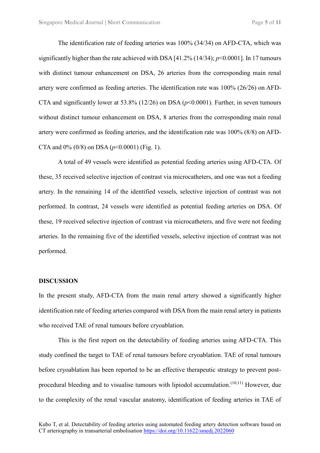The identification rate of feeding arteries was 100% (34/34) on AFD-CTA, which was significantly higher than the rate achieved with DSA [41.2% (14/34); *p*<0.0001]. In 17 tumours with distinct tumour enhancement on DSA, 26 arteries from the corresponding main renal artery were confirmed as feeding arteries. The identification rate was 100% (26/26) on AFD-CTA and significantly lower at  $53.8\%$  (12/26) on DSA ( $p<0.0001$ ). Further, in seven tumours without distinct tumour enhancement on DSA, 8 arteries from the corresponding main renal artery were confirmed as feeding arteries, and the identification rate was 100% (8/8) on AFD-CTA and  $0\%$  (0/8) on DSA ( $p$ <0.0001) (Fig. 1).

A total of 49 vessels were identified as potential feeding arteries using AFD-CTA. Of these, 35 received selective injection of contrast via microcatheters, and one was not a feeding artery. In the remaining 14 of the identified vessels, selective injection of contrast was not performed. In contrast, 24 vessels were identified as potential feeding arteries on DSA. Of these, 19 received selective injection of contrast via microcatheters, and five were not feeding arteries. In the remaining five of the identified vessels, selective injection of contrast was not performed.

## **DISCUSSION**

In the present study, AFD-CTA from the main renal artery showed a significantly higher identification rate of feeding arteries compared with DSA from the main renal artery in patients who received TAE of renal tumours before cryoablation.

This is the first report on the detectability of feeding arteries using AFD-CTA. This study confined the target to TAE of renal tumours before cryoablation. TAE of renal tumours before cryoablation has been reported to be an effective therapeutic strategy to prevent postprocedural bleeding and to visualise tumours with lipiodol accumulation.<sup>(10,11)</sup> However, due to the complexity of the renal vascular anatomy, identification of feeding arteries in TAE of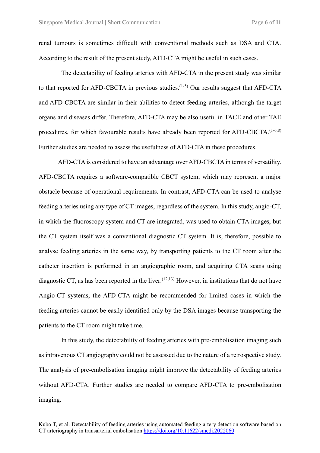renal tumours is sometimes difficult with conventional methods such as DSA and CTA. According to the result of the present study, AFD-CTA might be useful in such cases.

The detectability of feeding arteries with AFD-CTA in the present study was similar to that reported for AFD-CBCTA in previous studies. $(1-5)$  Our results suggest that AFD-CTA and AFD-CBCTA are similar in their abilities to detect feeding arteries, although the target organs and diseases differ. Therefore, AFD-CTA may be also useful in TACE and other TAE procedures, for which favourable results have already been reported for AFD-CBCTA.<sup>(1-6,8)</sup> Further studies are needed to assess the usefulness of AFD-CTA in these procedures.

AFD-CTA is considered to have an advantage over AFD-CBCTA in terms of versatility. AFD-CBCTA requires a software-compatible CBCT system, which may represent a major obstacle because of operational requirements. In contrast, AFD-CTA can be used to analyse feeding arteries using any type of CT images, regardless of the system. In this study, angio-CT, in which the fluoroscopy system and CT are integrated, was used to obtain CTA images, but the CT system itself was a conventional diagnostic CT system. It is, therefore, possible to analyse feeding arteries in the same way, by transporting patients to the CT room after the catheter insertion is performed in an angiographic room, and acquiring CTA scans using diagnostic CT, as has been reported in the liver.  $(12,13)$  However, in institutions that do not have Angio-CT systems, the AFD-CTA might be recommended for limited cases in which the feeding arteries cannot be easily identified only by the DSA images because transporting the patients to the CT room might take time.

In this study, the detectability of feeding arteries with pre-embolisation imaging such as intravenous CT angiography could not be assessed due to the nature of a retrospective study. The analysis of pre-embolisation imaging might improve the detectability of feeding arteries without AFD-CTA. Further studies are needed to compare AFD-CTA to pre-embolisation imaging.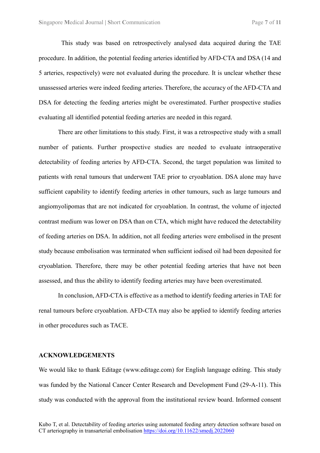This study was based on retrospectively analysed data acquired during the TAE procedure. In addition, the potential feeding arteries identified by AFD-CTA and DSA (14 and 5 arteries, respectively) were not evaluated during the procedure. It is unclear whether these unassessed arteries were indeed feeding arteries. Therefore, the accuracy of the AFD-CTA and DSA for detecting the feeding arteries might be overestimated. Further prospective studies evaluating all identified potential feeding arteries are needed in this regard.

There are other limitations to this study. First, it was a retrospective study with a small number of patients. Further prospective studies are needed to evaluate intraoperative detectability of feeding arteries by AFD-CTA. Second, the target population was limited to patients with renal tumours that underwent TAE prior to cryoablation. DSA alone may have sufficient capability to identify feeding arteries in other tumours, such as large tumours and angiomyolipomas that are not indicated for cryoablation. In contrast, the volume of injected contrast medium was lower on DSA than on CTA, which might have reduced the detectability of feeding arteries on DSA. In addition, not all feeding arteries were embolised in the present study because embolisation was terminated when sufficient iodised oil had been deposited for cryoablation. Therefore, there may be other potential feeding arteries that have not been assessed, and thus the ability to identify feeding arteries may have been overestimated.

In conclusion, AFD-CTA is effective as a method to identify feeding arteries in TAE for renal tumours before cryoablation. AFD-CTA may also be applied to identify feeding arteries in other procedures such as TACE.

#### **ACKNOWLEDGEMENTS**

We would like to thank Editage (www.editage.com) for English language editing. This study was funded by the National Cancer Center Research and Development Fund (29-A-11). This study was conducted with the approval from the institutional review board. Informed consent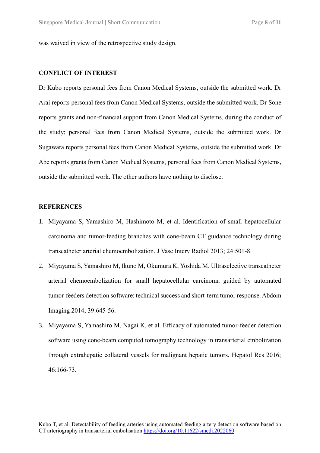was waived in view of the retrospective study design.

#### **CONFLICT OF INTEREST**

Dr Kubo reports personal fees from Canon Medical Systems, outside the submitted work. Dr Arai reports personal fees from Canon Medical Systems, outside the submitted work. Dr Sone reports grants and non-financial support from Canon Medical Systems, during the conduct of the study; personal fees from Canon Medical Systems, outside the submitted work. Dr Sugawara reports personal fees from Canon Medical Systems, outside the submitted work. Dr Abe reports grants from Canon Medical Systems, personal fees from Canon Medical Systems, outside the submitted work. The other authors have nothing to disclose.

#### **REFERENCES**

- 1. Miyayama S, Yamashiro M, Hashimoto M, et al. Identification of small hepatocellular carcinoma and tumor-feeding branches with cone-beam CT guidance technology during transcatheter arterial chemoembolization. J Vasc Interv Radiol 2013; 24:501-8.
- 2. Miyayama S, Yamashiro M, Ikuno M, Okumura K, Yoshida M. Ultraselective transcatheter arterial chemoembolization for small hepatocellular carcinoma guided by automated tumor-feeders detection software: technical success and short-term tumor response. Abdom Imaging 2014; 39:645-56.
- 3. Miyayama S, Yamashiro M, Nagai K, et al. Efficacy of automated tumor-feeder detection software using cone-beam computed tomography technology in transarterial embolization through extrahepatic collateral vessels for malignant hepatic tumors. Hepatol Res 2016; 46:166-73.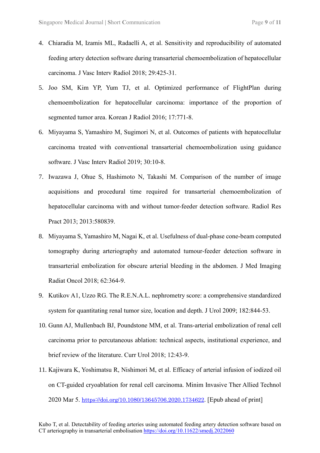- 4. Chiaradia M, Izamis ML, Radaelli A, et al. Sensitivity and reproducibility of automated feeding artery detection software during transarterial chemoembolization of hepatocellular carcinoma. J Vasc Interv Radiol 2018; 29:425-31.
- 5. Joo SM, Kim YP, Yum TJ, et al. Optimized performance of FlightPlan during chemoembolization for hepatocellular carcinoma: importance of the proportion of segmented tumor area. Korean J Radiol 2016; 17:771-8.
- 6. Miyayama S, Yamashiro M, Sugimori N, et al. Outcomes of patients with hepatocellular carcinoma treated with conventional transarterial chemoembolization using guidance software. J Vasc Interv Radiol 2019; 30:10-8.
- 7. Iwazawa J, Ohue S, Hashimoto N, Takashi M. Comparison of the number of image acquisitions and procedural time required for transarterial chemoembolization of hepatocellular carcinoma with and without tumor-feeder detection software. Radiol Res Pract 2013; 2013:580839.
- 8. Miyayama S, Yamashiro M, Nagai K, et al. Usefulness of dual-phase cone-beam computed tomography during arteriography and automated tumour-feeder detection software in transarterial embolization for obscure arterial bleeding in the abdomen. J Med Imaging Radiat Oncol 2018; 62:364-9.
- 9. Kutikov A1, Uzzo RG. The R.E.N.A.L. nephrometry score: a comprehensive standardized system for quantitating renal tumor size, location and depth. J Urol 2009; 182:844-53.
- 10. Gunn AJ, Mullenbach BJ, Poundstone MM, et al. Trans-arterial embolization of renal cell carcinoma prior to percutaneous ablation: technical aspects, institutional experience, and brief review of the literature. Curr Urol 2018; 12:43-9.
- 11. Kajiwara K, Yoshimatsu R, Nishimori M, et al. Efficacy of arterial infusion of iodized oil on CT-guided cryoablation for renal cell carcinoma. Minim Invasive Ther Allied Technol 2020 Mar 5. [https://doi.org/10.1080/13645706.2020.1734622](about:blank). [Epub ahead of print]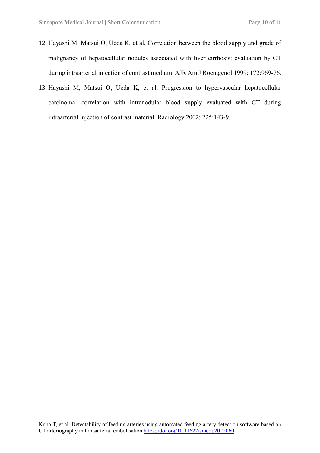- 12. Hayashi M, Matsui O, Ueda K, et al. Correlation between the blood supply and grade of malignancy of hepatocellular nodules associated with liver cirrhosis: evaluation by CT during intraarterial injection of contrast medium. AJR Am J Roentgenol 1999; 172:969-76.
- 13. Hayashi M, Matsui O, Ueda K, et al. Progression to hypervascular hepatocellular carcinoma: correlation with intranodular blood supply evaluated with CT during intraarterial injection of contrast material. Radiology 2002; 225:143-9.